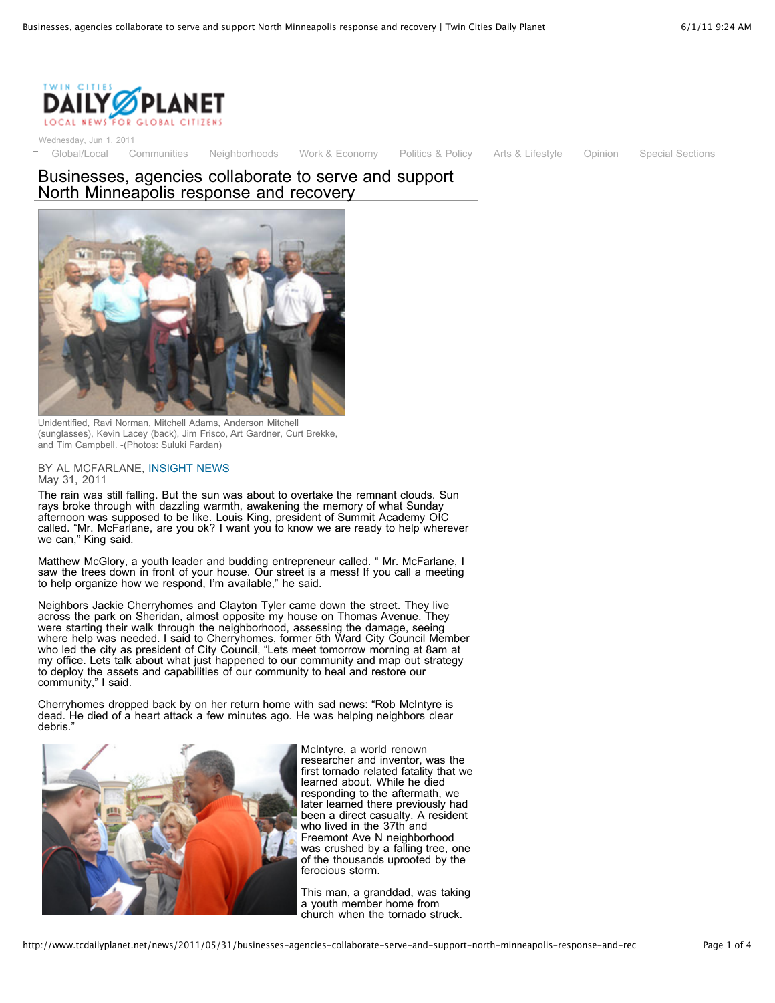

Wednesday, Jun 1, 2011

[Global/Local](http://www.tcdailyplanet.net/category/section/global/local) [Communities](http://www.tcdailyplanet.net/category/section/communities) [Neighborhoods](http://www.tcdailyplanet.net/neighborhood) [Work & Economy](http://www.tcdailyplanet.net/category/section/work-economy) [Politics & Policy](http://www.tcdailyplanet.net/category/section/politics-policy) [Arts & Lifestyle](http://www.tcdailyplanet.net/category/section/arts) [Opinion](http://www.tcdailyplanet.net/category/section/opinion) [Special Sections](http://www.tcdailyplanet.net/category/section/opinion)

## Businesses, agencies collaborate to serve and support North Minneapolis response and recovery



Unidentified, Ravi Norman, Mitchell Adams, Anderson Mitchell (sunglasses), Kevin Lacey (back), Jim Frisco, Art Gardner, Curt Brekke, and Tim Campbell. -(Photos: Suluki Fardan)

## BY AL MCFARLANE, [INSIGHT NEWS](http://www.tcdailyplanet.net/partners/insight-news) May 31, 2011

The rain was still falling. But the sun was about to overtake the remnant clouds. Sun rays broke through with dazzling warmth, awakening the memory of what Sunday afternoon was supposed to be like. Louis King, president of Summit Academy OIC called. "Mr. McFarlane, are you ok? I want you to know we are ready to help wherever we can," King said.

Matthew McGlory, a youth leader and budding entrepreneur called. " Mr. McFarlane, I saw the trees down in front of your house. Our street is a mess! If you call a meeting to help organize how we respond, I'm available," he said.

Neighbors Jackie Cherryhomes and Clayton Tyler came down the street. They live across the park on Sheridan, almost opposite my house on Thomas Avenue. They were starting their walk through the neighborhood, assessing the damage, seeing where help was needed. I said to Cherryhomes, former 5th Ward City Council Member who led the city as president of City Council, "Lets meet tomorrow morning at 8am at my office. Lets talk about what just happened to our community and map out strategy to deploy the assets and capabilities of our community to heal and restore our community," I said.

Cherryhomes dropped back by on her return home with sad news: "Rob McIntyre is dead. He died of a heart attack a few minutes ago. He was helping neighbors clear debris.



McIntyre, a world renown researcher and inventor, was the first tornado related fatality that we learned about. While he died responding to the aftermath, we later learned there previously had been a direct casualty. A resident who lived in the 37th and Freemont Ave N neighborhood was crushed by a falling tree, one of the thousands uprooted by the ferocious storm.

This man, a granddad, was taking a youth member home from church when the tornado struck.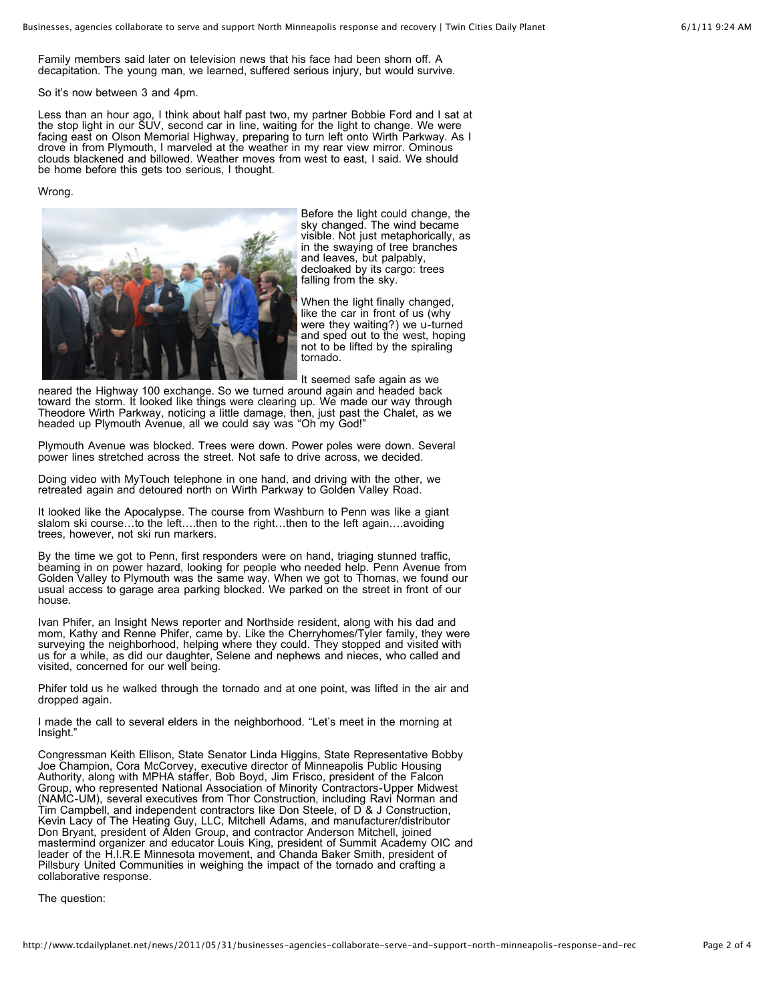Family members said later on television news that his face had been shorn off. A decapitation. The young man, we learned, suffered serious injury, but would survive.

So it's now between 3 and 4pm.

Less than an hour ago, I think about half past two, my partner Bobbie Ford and I sat at the stop light in our SUV, second car in line, waiting for the light to change. We were facing east on Olson Memorial Highway, preparing to turn left onto Wirth Parkway. As I drove in from Plymouth, I marveled at the weather in my rear view mirror. Ominous clouds blackened and billowed. Weather moves from west to east, I said. We should be home before this gets too serious, I thought.

## Wrong.



Before the light could change, the sky changed. The wind became visible. Not just metaphorically, as in the swaying of tree branches and leaves, but palpably, decloaked by its cargo: trees falling from the sky.

When the light finally changed, like the car in front of us (why were they waiting?) we u-turned and sped out to the west, hoping not to be lifted by the spiraling tornado.

It seemed safe again as we

neared the Highway 100 exchange. So we turned around again and headed back toward the storm. It looked like things were clearing up. We made our way through Theodore Wirth Parkway, noticing a little damage, then, just past the Chalet, as we headed up Plymouth Avenue, all we could say was "Oh my God!"

Plymouth Avenue was blocked. Trees were down. Power poles were down. Several power lines stretched across the street. Not safe to drive across, we decided.

Doing video with MyTouch telephone in one hand, and driving with the other, we retreated again and detoured north on Wirth Parkway to Golden Valley Road.

It looked like the Apocalypse. The course from Washburn to Penn was like a giant slalom ski course…to the left….then to the right…then to the left again….avoiding trees, however, not ski run markers.

By the time we got to Penn, first responders were on hand, triaging stunned traffic, beaming in on power hazard, looking for people who needed help. Penn Avenue from Golden Valley to Plymouth was the same way. When we got to Thomas, we found our usual access to garage area parking blocked. We parked on the street in front of our house.

Ivan Phifer, an Insight News reporter and Northside resident, along with his dad and mom, Kathy and Renne Phifer, came by. Like the Cherryhomes/Tyler family, they were surveying the neighborhood, helping where they could. They stopped and visited with us for a while, as did our daughter, Selene and nephews and nieces, who called and visited, concerned for our well being.

Phifer told us he walked through the tornado and at one point, was lifted in the air and dropped again.

I made the call to several elders in the neighborhood. "Let's meet in the morning at Insight."

Congressman Keith Ellison, State Senator Linda Higgins, State Representative Bobby Joe Champion, Cora McCorvey, executive director of Minneapolis Public Housing Authority, along with MPHA staffer, Bob Boyd, Jim Frisco, president of the Falcon Group, who represented National Association of Minority Contractors-Upper Midwest (NAMC-UM), several executives from Thor Construction, including Ravi Norman and Tim Campbell, and independent contractors like Don Steele, of D & J Construction, Kevin Lacy of The Heating Guy, LLC, Mitchell Adams, and manufacturer/distributor Don Bryant, president of Alden Group, and contractor Anderson Mitchell, joined mastermind organizer and educator Louis King, president of Summit Academy OIC and leader of the H.I.R.E Minnesota movement, and Chanda Baker Smith, president of Pillsbury United Communities in weighing the impact of the tornado and crafting a collaborative response.

The question: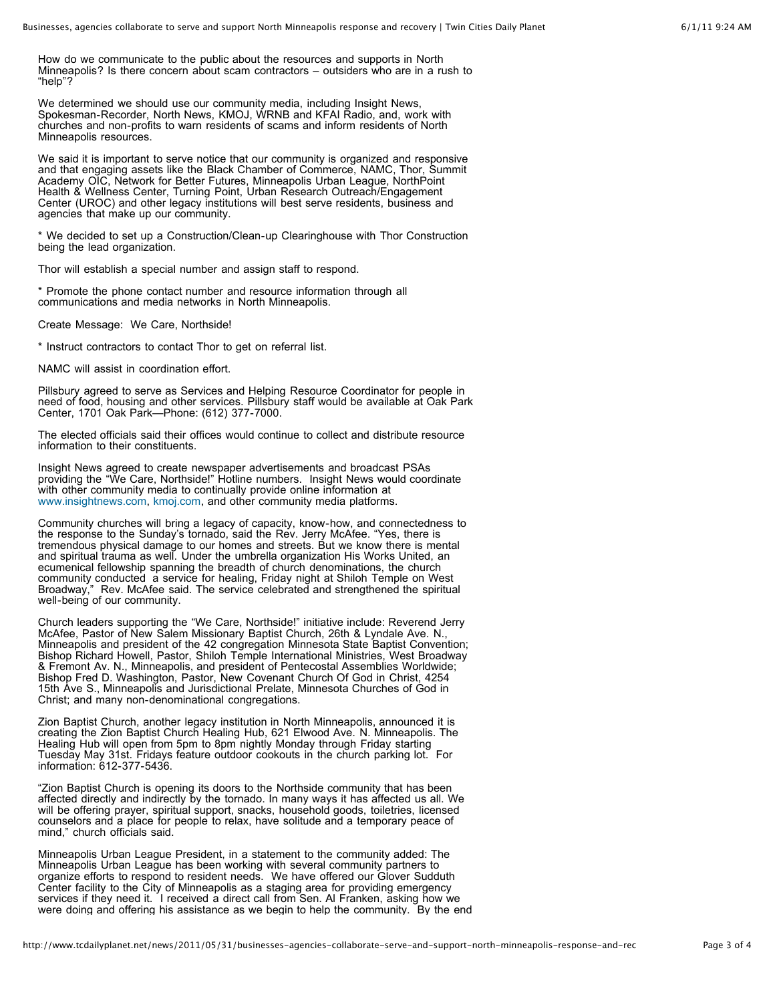How do we communicate to the public about the resources and supports in North Minneapolis? Is there concern about scam contractors – outsiders who are in a rush to "help"?

We determined we should use our community media, including Insight News, Spokesman-Recorder, North News, KMOJ, WRNB and KFAI Radio, and, work with churches and non-profits to warn residents of scams and inform residents of North Minneapolis resources.

We said it is important to serve notice that our community is organized and responsive and that engaging assets like the Black Chamber of Commerce, NAMC, Thor, Summit Academy OIC, Network for Better Futures, Minneapolis Urban League, NorthPoint Health & Wellness Center, Turning Point, Urban Research Outreach/Engagement Center (UROC) and other legacy institutions will best serve residents, business and agencies that make up our community.

\* We decided to set up a Construction/Clean-up Clearinghouse with Thor Construction being the lead organization.

Thor will establish a special number and assign staff to respond.

\* Promote the phone contact number and resource information through all communications and media networks in North Minneapolis.

Create Message: We Care, Northside!

\* Instruct contractors to contact Thor to get on referral list.

NAMC will assist in coordination effort.

Pillsbury agreed to serve as Services and Helping Resource Coordinator for people in need of food, housing and other services. Pillsbury staff would be available at Oak Park Center, 1701 Oak Park—Phone: (612) 377-7000.

The elected officials said their offices would continue to collect and distribute resource information to their constituents.

Insight News agreed to create newspaper advertisements and broadcast PSAs providing the "We Care, Northside!" Hotline numbers. Insight News would coordinate with other community media to continually provide online information at [www.insightnews.com,](http://www.insightnews.com/) [kmoj.com,](http://insightnews.com/kmoj.com) and other community media platforms.

Community churches will bring a legacy of capacity, know-how, and connectedness to the response to the Sunday's tornado, said the Rev. Jerry McAfee. "Yes, there is tremendous physical damage to our homes and streets. But we know there is mental and spiritual trauma as well. Under the umbrella organization His Works United, an ecumenical fellowship spanning the breadth of church denominations, the church community conducted a service for healing, Friday night at Shiloh Temple on West Broadway," Rev. McAfee said. The service celebrated and strengthened the spiritual well-being of our community.

Church leaders supporting the "We Care, Northside!" initiative include: Reverend Jerry McAfee, Pastor of New Salem Missionary Baptist Church, 26th & Lyndale Ave. N., Minneapolis and president of the 42 congregation Minnesota State Baptist Convention; Bishop Richard Howell, Pastor, Shiloh Temple International Ministries, West Broadway & Fremont Av. N., Minneapolis, and president of Pentecostal Assemblies Worldwide; Bishop Fred D. Washington, Pastor, New Covenant Church Of God in Christ, 4254 15th Ave S., Minneapolis and Jurisdictional Prelate, Minnesota Churches of God in Christ; and many non-denominational congregations.

Zion Baptist Church, another legacy institution in North Minneapolis, announced it is creating the Zion Baptist Church Healing Hub, 621 Elwood Ave. N. Minneapolis. The Healing Hub will open from 5pm to 8pm nightly Monday through Friday starting Tuesday May 31st. Fridays feature outdoor cookouts in the church parking lot. For information: 612-377-5436.

"Zion Baptist Church is opening its doors to the Northside community that has been affected directly and indirectly by the tornado. In many ways it has affected us all. We will be offering prayer, spiritual support, snacks, household goods, toiletries, licensed counselors and a place for people to relax, have solitude and a temporary peace of mind," church officials said.

Minneapolis Urban League President, in a statement to the community added: The Minneapolis Urban League has been working with several community partners to organize efforts to respond to resident needs. We have offered our Glover Sudduth Center facility to the City of Minneapolis as a staging area for providing emergency services if they need it. I received a direct call from Sen. Al Franken, asking how we were doing and offering his assistance as we begin to help the community. By the end